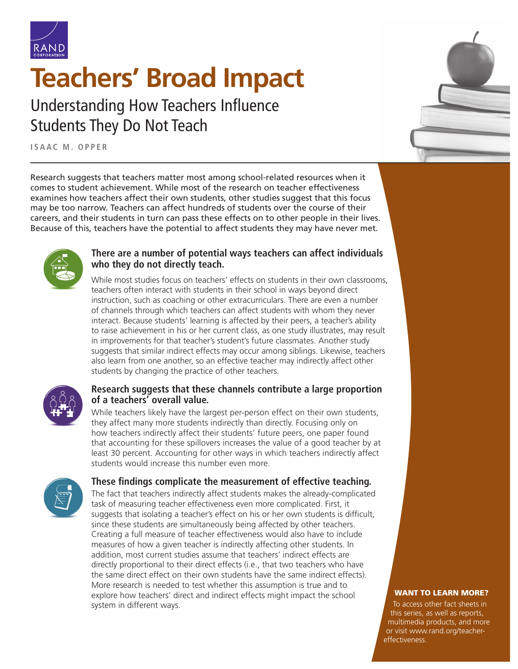

# **[Teachers' Broad Impact](https://www.rand.org/pubs/research_reports/RR4312z3.html)**

Understanding How Teachers Influence Students They Do Not Teach

**ISAAC M. OPPER**

Research suggests that teachers matter most among school-related resources when it comes to student achievement. While most of the research on teacher effectiveness examines how teachers affect their own students, other studies suggest that this focus may be too narrow. Teachers can affect hundreds of students over the course of their careers, and their students in turn can pass these effects on to other people in their lives. Because of this, teachers have the potential to affect students they may have never met.



## **There are a number of potential ways teachers can affect individuals who they do not directly teach.**

While most studies focus on teachers' effects on students in their own classrooms, teachers often interact with students in their school in ways beyond direct instruction, such as coaching or other extracurriculars. There are even a number of channels through which teachers can affect students with whom they never interact. Because students' learning is affected by their peers, a teacher's ability to raise achievement in his or her current class, as one study illustrates, may result in improvements for that teacher's student's future classmates. Another study suggests that similar indirect effects may occur among siblings. Likewise, teachers also learn from one another, so an effective teacher may indirectly affect other students by changing the practice of other teachers.



### **Research suggests that these channels contribute a large proportion of a teachers' overall value.**

While teachers likely have the largest per-person effect on their own students, they affect many more students indirectly than directly. Focusing only on how teachers indirectly affect their students' future peers, one paper found that accounting for these spillovers increases the value of a good teacher by at least 30 percent. Accounting for other ways in which teachers indirectly affect students would increase this number even more.



## **These findings complicate the measurement of effective teaching.**

The fact that teachers indirectly affect students makes the already-complicated task of measuring teacher effectiveness even more complicated. First, it suggests that isolating a teacher's effect on his or her own students is difficult, since these students are simultaneously being affected by other teachers. Creating a full measure of teacher effectiveness would also have to include measures of how a given teacher is indirectly affecting other students. In addition, most current studies assume that teachers' indirect effects are directly proportional to their direct effects (i.e., that two teachers who have the same direct effect on their own students have the same indirect effects). More research is needed to test whether this assumption is true and to explore how teachers' direct and indirect effects might impact the school system in different ways.



#### WANT TO LEARN MORE?

To access other fact sheets in this series, as well as reports, multimedia products, and more or visit [www.rand.org/teacher](http://www.rand.org/teacher-effectiveness)[effectiveness.](http://www.rand.org/teacher-effectiveness)